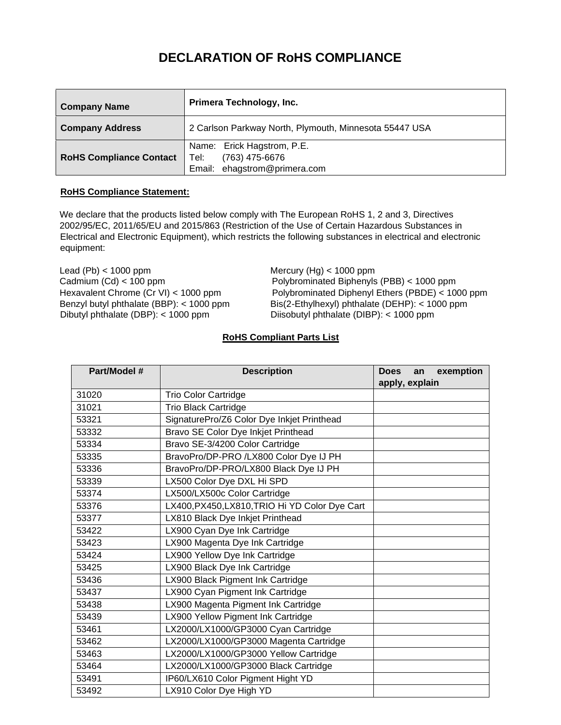## **DECLARATION OF RoHS COMPLIANCE**

| <b>Company Name</b>            | Primera Technology, Inc.                                                               |  |
|--------------------------------|----------------------------------------------------------------------------------------|--|
| <b>Company Address</b>         | 2 Carlson Parkway North, Plymouth, Minnesota 55447 USA                                 |  |
| <b>RoHS Compliance Contact</b> | Name: Erick Hagstrom, P.E.<br>(763) 475-6676<br>Tel: l<br>Email: ehagstrom@primera.com |  |

## **RoHS Compliance Statement:**

We declare that the products listed below comply with The European RoHS 1, 2 and 3, Directives 2002/95/EC, 2011/65/EU and 2015/863 (Restriction of the Use of Certain Hazardous Substances in Electrical and Electronic Equipment), which restricts the following substances in electrical and electronic equipment:

Lead (Pb) < 1000 ppm Mercury (Hg) < 1000 ppm Dibutyl phthalate (DBP): < 1000 ppm Diisobutyl phthalate (DIBP): < 1000 ppm

Cadmium (Cd) < 100 ppm Polybrominated Biphenyls (PBB) < 1000 ppm Hexavalent Chrome (Cr VI) < 1000 ppm Polybrominated Diphenyl Ethers (PBDE) < 1000 ppm Benzyl butyl phthalate (BBP): < 1000 ppm Bis(2-Ethylhexyl) phthalate (DEHP): < 1000 ppm  $Bis(2-Ethylhexyl)$  phthalate (DEHP): < 1000 ppm

## **RoHS Compliant Parts List**

| Part/Model # | <b>Description</b>                             | <b>Does</b><br>apply, explain | exemption<br>an |
|--------------|------------------------------------------------|-------------------------------|-----------------|
| 31020        | <b>Trio Color Cartridge</b>                    |                               |                 |
| 31021        | <b>Trio Black Cartridge</b>                    |                               |                 |
| 53321        | SignaturePro/Z6 Color Dye Inkjet Printhead     |                               |                 |
| 53332        | Bravo SE Color Dye Inkjet Printhead            |                               |                 |
| 53334        | Bravo SE-3/4200 Color Cartridge                |                               |                 |
| 53335        | BravoPro/DP-PRO /LX800 Color Dye IJ PH         |                               |                 |
| 53336        | BravoPro/DP-PRO/LX800 Black Dye IJ PH          |                               |                 |
| 53339        | LX500 Color Dye DXL Hi SPD                     |                               |                 |
| 53374        | LX500/LX500c Color Cartridge                   |                               |                 |
| 53376        | LX400, PX450, LX810, TRIO Hi YD Color Dye Cart |                               |                 |
| 53377        | LX810 Black Dye Inkjet Printhead               |                               |                 |
| 53422        | LX900 Cyan Dye Ink Cartridge                   |                               |                 |
| 53423        | LX900 Magenta Dye Ink Cartridge                |                               |                 |
| 53424        | LX900 Yellow Dye Ink Cartridge                 |                               |                 |
| 53425        | LX900 Black Dye Ink Cartridge                  |                               |                 |
| 53436        | LX900 Black Pigment Ink Cartridge              |                               |                 |
| 53437        | LX900 Cyan Pigment Ink Cartridge               |                               |                 |
| 53438        | LX900 Magenta Pigment Ink Cartridge            |                               |                 |
| 53439        | LX900 Yellow Pigment Ink Cartridge             |                               |                 |
| 53461        | LX2000/LX1000/GP3000 Cyan Cartridge            |                               |                 |
| 53462        | LX2000/LX1000/GP3000 Magenta Cartridge         |                               |                 |
| 53463        | LX2000/LX1000/GP3000 Yellow Cartridge          |                               |                 |
| 53464        | LX2000/LX1000/GP3000 Black Cartridge           |                               |                 |
| 53491        | IP60/LX610 Color Pigment Hight YD              |                               |                 |
| 53492        | LX910 Color Dye High YD                        |                               |                 |